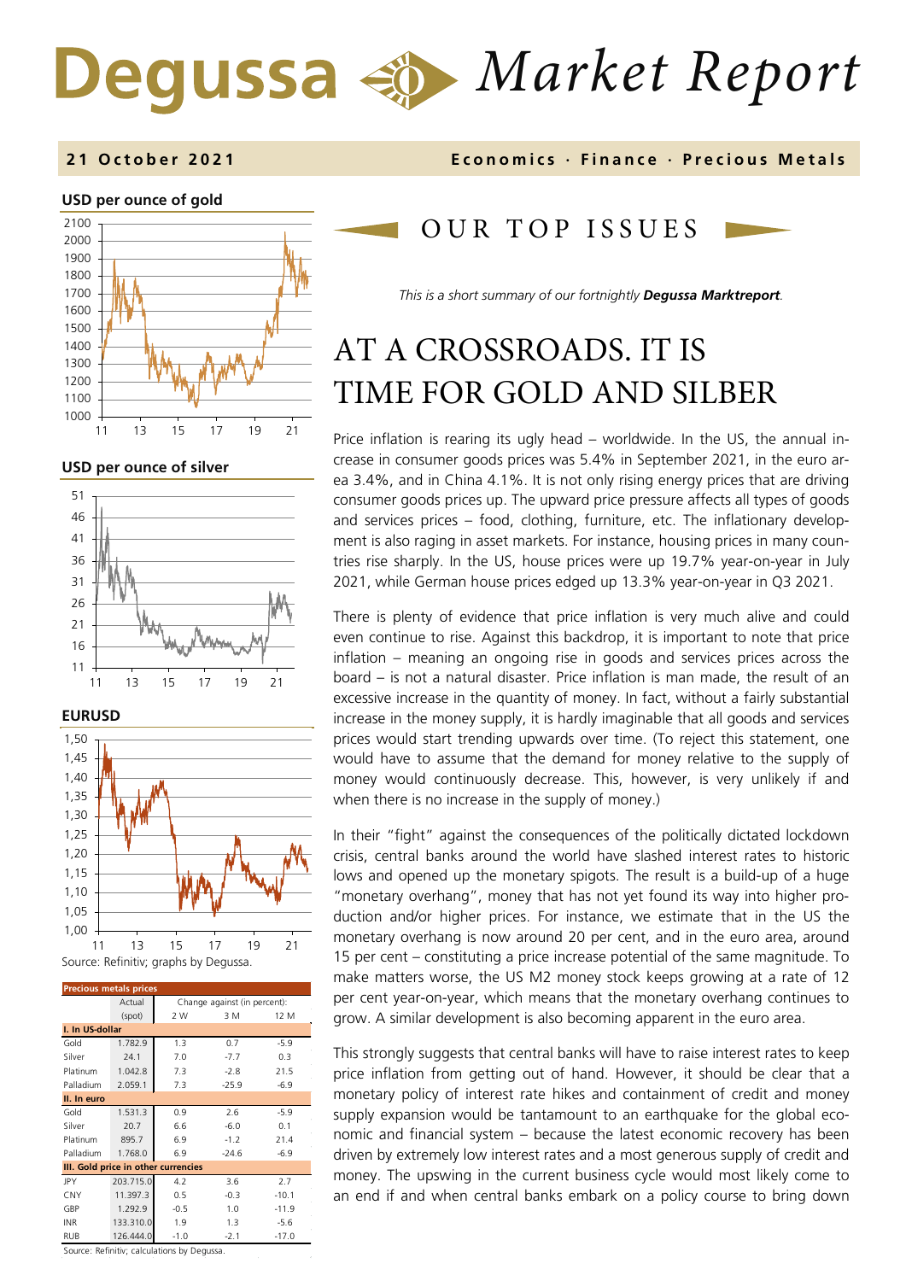# *Market Report*

#### **2 1 October 202 1 Economics · Finance · Precious Metals**

#### **USD per ounce of gold**



**USD per ounce of silver** 



**EURUSD**



| <b>Precious metals prices</b>               |           |                              |         |         |  |
|---------------------------------------------|-----------|------------------------------|---------|---------|--|
|                                             | Actual    | Change against (in percent): |         |         |  |
|                                             | (spot)    | 2 W                          | 3 M     | 12 M    |  |
| I. In US-dollar                             |           |                              |         |         |  |
| Gold                                        | 1.782.9   | 1.3                          | 0.7     | $-5.9$  |  |
| Silver                                      | 24.1      | 7.0                          | $-7.7$  | 0.3     |  |
| Platinum                                    | 1.042.8   | 7.3                          | $-2.8$  | 21.5    |  |
| Palladium                                   | 2.059.1   | 7.3                          | $-25.9$ | $-6.9$  |  |
| II. In euro                                 |           |                              |         |         |  |
| Gold                                        | 1.531.3   | 0.9                          | 2.6     | $-5.9$  |  |
| Silver                                      | 20.7      | 6.6                          | $-6.0$  | 0.1     |  |
| Platinum                                    | 895.7     | 6.9                          | $-1.2$  | 21.4    |  |
| Palladium                                   | 1.768.0   | 6.9                          | $-24.6$ | $-6.9$  |  |
| III. Gold price in other currencies         |           |                              |         |         |  |
| <b>JPY</b>                                  | 203.715.0 | 4.2                          | 3.6     | 2.7     |  |
| CNY                                         | 11.397.3  | 0.5                          | $-0.3$  | $-10.1$ |  |
| GBP                                         | 1.292.9   | $-0.5$                       | 1.0     | $-11.9$ |  |
| <b>INR</b>                                  | 133.310.0 | 1.9                          | 1.3     | $-5.6$  |  |
| <b>RUB</b>                                  | 126,444.0 | $-1.0$                       | $-2.1$  | $-17.0$ |  |
| Source: Refinitiv: calculations by Degussa. |           |                              |         |         |  |

OUR TOP ISSUE S

*This is a short summary of our fortnightly Degussa Marktreport.*

## AT A CROSSROADS. IT IS TIME FOR GOLD AND SILBER

Price inflation is rearing its ugly head – worldwide. In the US, the annual increase in consumer goods prices was 5.4% in September 2021, in the euro area 3.4%, and in China 4.1%. It is not only rising energy prices that are driving consumer goods prices up. The upward price pressure affects all types of goods and services prices – food, clothing, furniture, etc. The inflationary development is also raging in asset markets. For instance, housing prices in many countries rise sharply. In the US, house prices were up 19.7% year-on-year in July 2021, while German house prices edged up 13.3% year-on-year in Q3 2021.

There is plenty of evidence that price inflation is very much alive and could even continue to rise. Against this backdrop, it is important to note that price inflation – meaning an ongoing rise in goods and services prices across the board – is not a natural disaster. Price inflation is man made, the result of an excessive increase in the quantity of money. In fact, without a fairly substantial increase in the money supply, it is hardly imaginable that all goods and services prices would start trending upwards over time. (To reject this statement, one would have to assume that the demand for money relative to the supply of money would continuously decrease. This, however, is very unlikely if and when there is no increase in the supply of money.)

In their "fight" against the consequences of the politically dictated lockdown crisis, central banks around the world have slashed interest rates to historic lows and opened up the monetary spigots. The result is a build-up of a huge "monetary overhang", money that has not yet found its way into higher production and/or higher prices. For instance, we estimate that in the US the monetary overhang is now around 20 per cent, and in the euro area, around 15 per cent – constituting a price increase potential of the same magnitude. To make matters worse, the US M2 money stock keeps growing at a rate of 12 per cent year-on-year, which means that the monetary overhang continues to grow. A similar development is also becoming apparent in the euro area.

This strongly suggests that central banks will have to raise interest rates to keep price inflation from getting out of hand. However, it should be clear that a monetary policy of interest rate hikes and containment of credit and money supply expansion would be tantamount to an earthquake for the global economic and financial system – because the latest economic recovery has been driven by extremely low interest rates and a most generous supply of credit and money. The upswing in the current business cycle would most likely come to an end if and when central banks embark on a policy course to bring down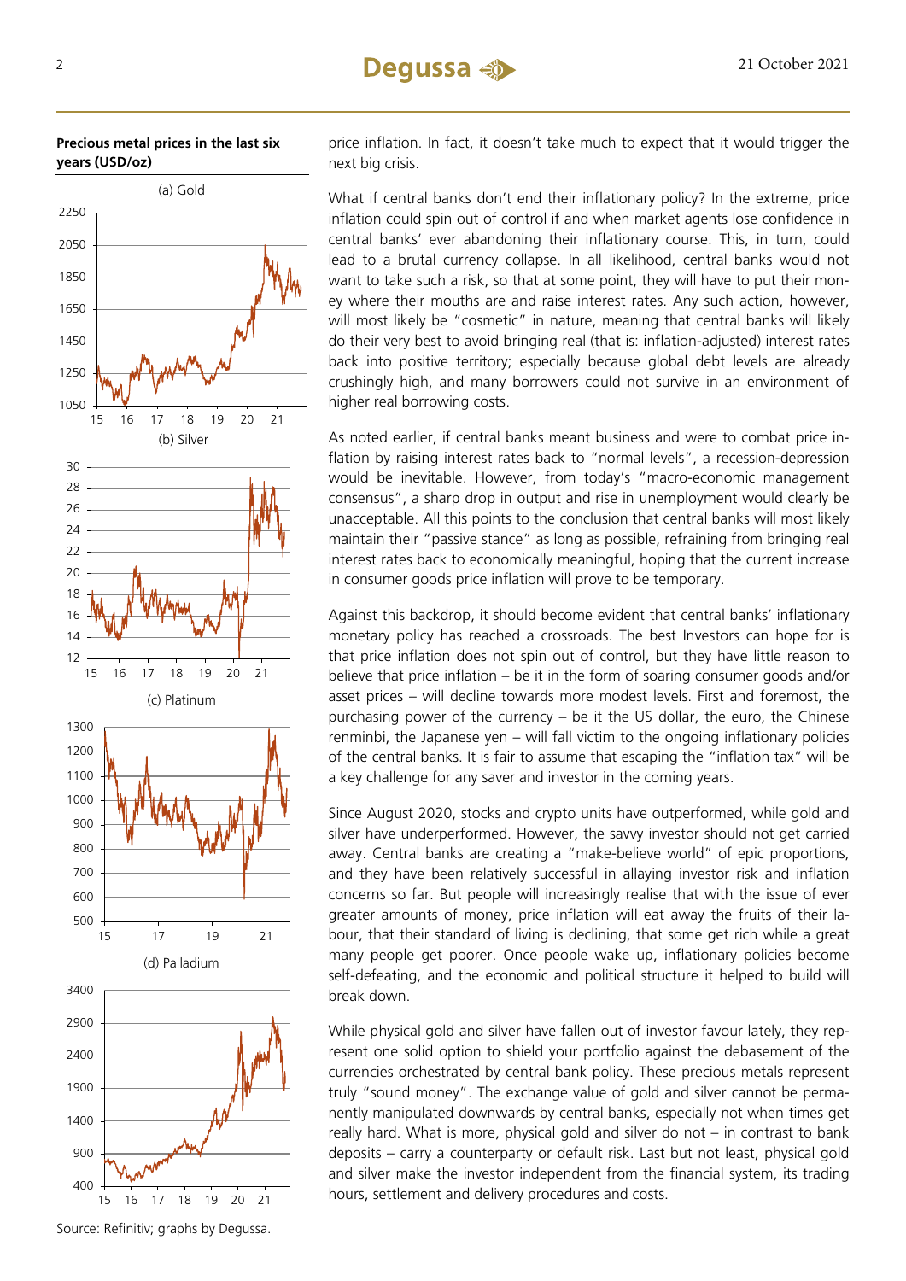

(c) Platinum

15 16 17 18 19 20 21

3400

(d) Palladium

15 17 19 21



price inflation. In fact, it doesn't take much to expect that it would trigger the next big crisis.

What if central banks don't end their inflationary policy? In the extreme, price inflation could spin out of control if and when market agents lose confidence in central banks' ever abandoning their inflationary course. This, in turn, could lead to a brutal currency collapse. In all likelihood, central banks would not want to take such a risk, so that at some point, they will have to put their money where their mouths are and raise interest rates. Any such action, however, will most likely be "cosmetic" in nature, meaning that central banks will likely do their very best to avoid bringing real (that is: inflation-adjusted) interest rates back into positive territory; especially because global debt levels are already crushingly high, and many borrowers could not survive in an environment of higher real borrowing costs.

As noted earlier, if central banks meant business and were to combat price inflation by raising interest rates back to "normal levels", a recession-depression would be inevitable. However, from today's "macro-economic management consensus", a sharp drop in output and rise in unemployment would clearly be unacceptable. All this points to the conclusion that central banks will most likely maintain their "passive stance" as long as possible, refraining from bringing real interest rates back to economically meaningful, hoping that the current increase in consumer goods price inflation will prove to be temporary.

Against this backdrop, it should become evident that central banks' inflationary monetary policy has reached a crossroads. The best Investors can hope for is that price inflation does not spin out of control, but they have little reason to believe that price inflation – be it in the form of soaring consumer goods and/or asset prices – will decline towards more modest levels. First and foremost, the purchasing power of the currency – be it the US dollar, the euro, the Chinese renminbi, the Japanese yen – will fall victim to the ongoing inflationary policies of the central banks. It is fair to assume that escaping the "inflation tax" will be a key challenge for any saver and investor in the coming years.

Since August 2020, stocks and crypto units have outperformed, while gold and silver have underperformed. However, the savvy investor should not get carried away. Central banks are creating a "make-believe world" of epic proportions, and they have been relatively successful in allaying investor risk and inflation concerns so far. But people will increasingly realise that with the issue of ever greater amounts of money, price inflation will eat away the fruits of their labour, that their standard of living is declining, that some get rich while a great many people get poorer. Once people wake up, inflationary policies become self-defeating, and the economic and political structure it helped to build will break down.

While physical gold and silver have fallen out of investor favour lately, they represent one solid option to shield your portfolio against the debasement of the currencies orchestrated by central bank policy. These precious metals represent truly "sound money". The exchange value of gold and silver cannot be permanently manipulated downwards by central banks, especially not when times get really hard. What is more, physical gold and silver do not – in contrast to bank deposits – carry a counterparty or default risk. Last but not least, physical gold and silver make the investor independent from the financial system, its trading hours, settlement and delivery procedures and costs.



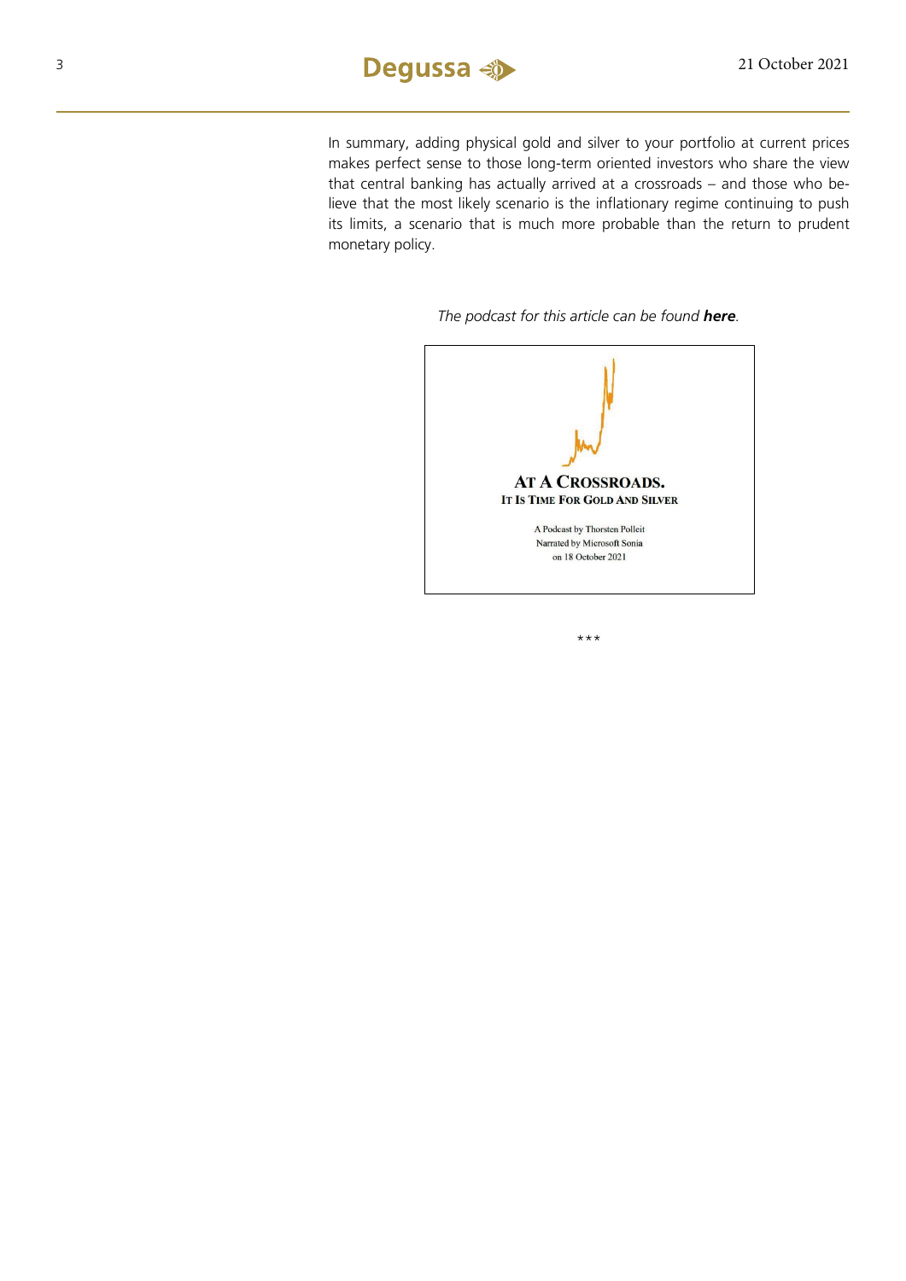In summary, adding physical gold and silver to your portfolio at current prices makes perfect sense to those long-term oriented investors who share the view that central banking has actually arrived at a crossroads – and those who believe that the most likely scenario is the inflationary regime continuing to push its limits, a scenario that is much more probable than the return to prudent monetary policy.

#### *The podcast for this article can be found [here](https://soundcloud.com/user-889325874/at-a-crossroads-it-is-time-for-gold-and-silver).*



\*\*\*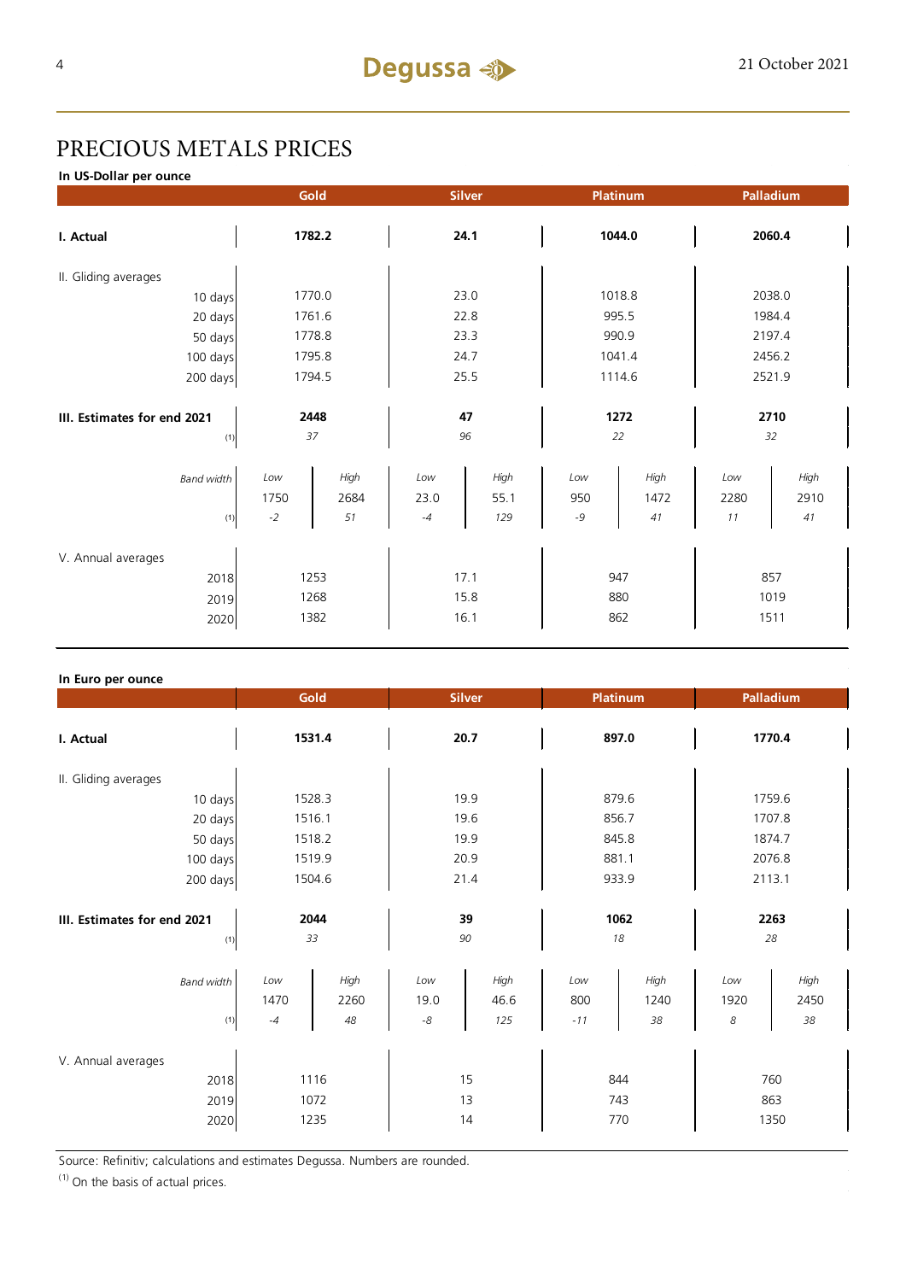## PRECIOUS METALS PRICES

**In US-Dollar per ounce**

|                             | Gold        |              | <b>Silver</b> |              | Platinum   |              | Palladium   |              |  |
|-----------------------------|-------------|--------------|---------------|--------------|------------|--------------|-------------|--------------|--|
| I. Actual                   | 1782.2      |              | 24.1          |              | 1044.0     |              | 2060.4      |              |  |
| II. Gliding averages        |             |              |               |              |            |              |             |              |  |
| 10 days                     |             | 1770.0       |               | 23.0         |            | 1018.8       |             | 2038.0       |  |
| 20 days                     |             | 1761.6       |               | 22.8         |            | 995.5        |             | 1984.4       |  |
| 50 days                     |             | 1778.8       |               | 23.3         |            | 990.9        |             | 2197.4       |  |
| 100 days                    |             | 1795.8       |               | 24.7         |            | 1041.4       |             | 2456.2       |  |
| 200 days                    |             | 1794.5       |               | 25.5         |            | 1114.6       |             | 2521.9       |  |
|                             |             |              |               |              |            |              |             |              |  |
| III. Estimates for end 2021 |             | 2448         |               | 47           |            | 1272         |             | 2710         |  |
| (1)                         |             | 37           |               | 96           | 22         |              |             | 32           |  |
| <b>Band width</b>           | Low<br>1750 | High<br>2684 | Low<br>23.0   | High<br>55.1 | Low<br>950 | High<br>1472 | Low<br>2280 | High<br>2910 |  |
| (1)                         | $-2$        | 51           | $-4$          | 129          | -9         | 41           | 11          | 41           |  |
| V. Annual averages          |             |              |               |              |            |              |             |              |  |
| 2018                        | 1253        |              | 17.1          |              | 947        |              | 857         |              |  |
| 2019                        | 1268        |              | 15.8          |              | 880        |              | 1019        |              |  |
| 2020                        | 1382        |              | 16.1          |              | 862        |              | 1511        |              |  |

#### **In Euro per ounce**

|                                            | Gold                 |                    | <b>Silver</b>     |                     | Platinum            |                    | Palladium          |                    |  |
|--------------------------------------------|----------------------|--------------------|-------------------|---------------------|---------------------|--------------------|--------------------|--------------------|--|
| I. Actual                                  | 1531.4               |                    | 20.7              |                     | 897.0               |                    | 1770.4             |                    |  |
| II. Gliding averages                       |                      |                    |                   |                     |                     |                    |                    |                    |  |
| 10 days                                    | 1528.3               |                    | 19.9              |                     | 879.6               |                    | 1759.6             |                    |  |
| 20 days                                    |                      | 1516.1             |                   | 19.6                |                     | 856.7              |                    | 1707.8             |  |
| 50 days                                    |                      | 1518.2             |                   | 19.9                |                     | 845.8              |                    | 1874.7             |  |
| 100 days                                   |                      | 1519.9             |                   | 20.9                |                     | 881.1              |                    | 2076.8             |  |
| 200 days                                   | 1504.6               |                    | 21.4              |                     | 933.9               |                    | 2113.1             |                    |  |
| III. Estimates for end 2021<br>(1)         | 2044<br>33           |                    | 39<br>90          |                     | 1062<br>18          |                    | 2263<br>28         |                    |  |
| <b>Band width</b><br>(1)                   | Low<br>1470<br>$-4$  | High<br>2260<br>48 | Low<br>19.0<br>-8 | High<br>46.6<br>125 | Low<br>800<br>$-11$ | High<br>1240<br>38 | Low<br>1920<br>8   | High<br>2450<br>38 |  |
| V. Annual averages<br>2018<br>2019<br>2020 | 1116<br>1072<br>1235 |                    | 15<br>13<br>14    |                     | 844<br>743<br>770   |                    | 760<br>863<br>1350 |                    |  |

Source: Refinitiv; calculations and estimates Degussa. Numbers are rounded.

 $(1)$  On the basis of actual prices.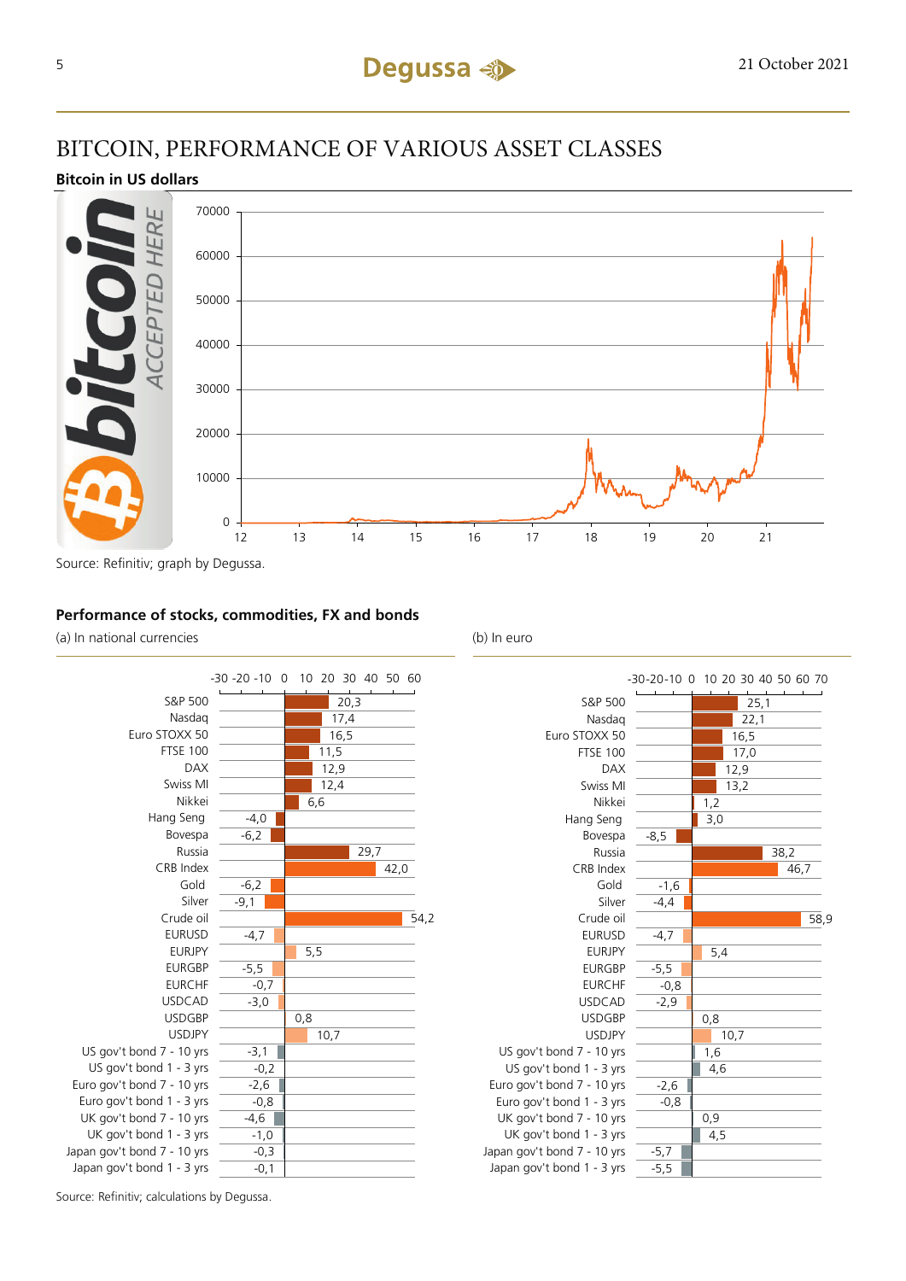## BITCOIN, PERFORMANCE OF VARIOUS ASSET CLASSES

#### **Bitcoin in US dollars**



#### **Performance of stocks, commodities, FX and bonds**

(a) In national currencies (b) In euro





Source: Refinitiv; calculations by Degussa.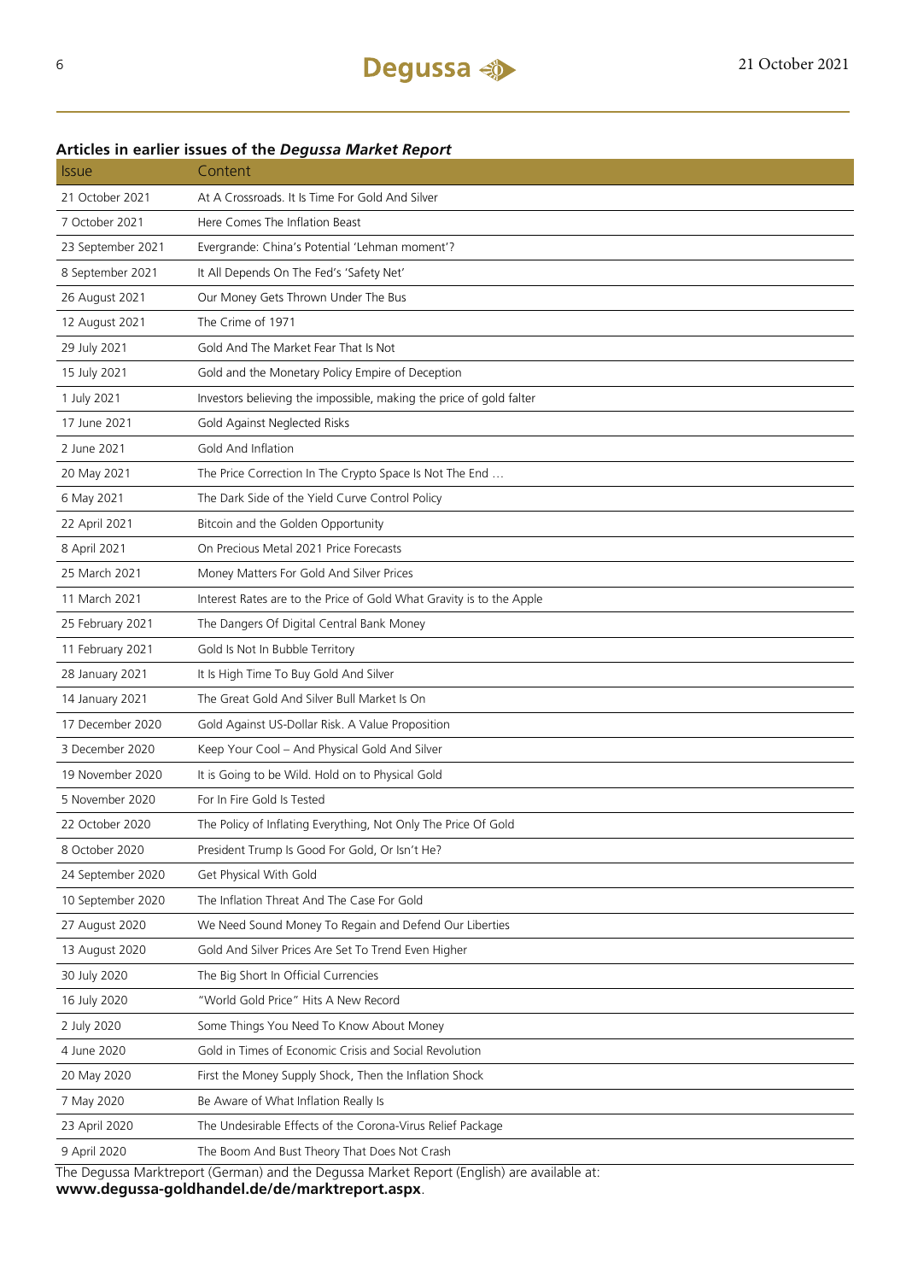| <i><b>Issue</b></i>                                                                        | Content                                                              |  |  |  |
|--------------------------------------------------------------------------------------------|----------------------------------------------------------------------|--|--|--|
| 21 October 2021                                                                            | At A Crossroads. It Is Time For Gold And Silver                      |  |  |  |
| 7 October 2021                                                                             | Here Comes The Inflation Beast                                       |  |  |  |
| 23 September 2021                                                                          | Evergrande: China's Potential 'Lehman moment'?                       |  |  |  |
| 8 September 2021                                                                           | It All Depends On The Fed's 'Safety Net'                             |  |  |  |
| 26 August 2021                                                                             | Our Money Gets Thrown Under The Bus                                  |  |  |  |
| 12 August 2021                                                                             | The Crime of 1971                                                    |  |  |  |
| 29 July 2021                                                                               | Gold And The Market Fear That Is Not                                 |  |  |  |
| 15 July 2021                                                                               | Gold and the Monetary Policy Empire of Deception                     |  |  |  |
| 1 July 2021                                                                                | Investors believing the impossible, making the price of gold falter  |  |  |  |
| 17 June 2021                                                                               | Gold Against Neglected Risks                                         |  |  |  |
| 2 June 2021                                                                                | Gold And Inflation                                                   |  |  |  |
| 20 May 2021                                                                                | The Price Correction In The Crypto Space Is Not The End              |  |  |  |
| 6 May 2021                                                                                 | The Dark Side of the Yield Curve Control Policy                      |  |  |  |
| 22 April 2021                                                                              | Bitcoin and the Golden Opportunity                                   |  |  |  |
| 8 April 2021                                                                               | On Precious Metal 2021 Price Forecasts                               |  |  |  |
| 25 March 2021                                                                              | Money Matters For Gold And Silver Prices                             |  |  |  |
| 11 March 2021                                                                              | Interest Rates are to the Price of Gold What Gravity is to the Apple |  |  |  |
| 25 February 2021                                                                           | The Dangers Of Digital Central Bank Money                            |  |  |  |
| 11 February 2021                                                                           | Gold Is Not In Bubble Territory                                      |  |  |  |
| 28 January 2021                                                                            | It Is High Time To Buy Gold And Silver                               |  |  |  |
| 14 January 2021                                                                            | The Great Gold And Silver Bull Market Is On                          |  |  |  |
| 17 December 2020                                                                           | Gold Against US-Dollar Risk. A Value Proposition                     |  |  |  |
| 3 December 2020                                                                            | Keep Your Cool - And Physical Gold And Silver                        |  |  |  |
| 19 November 2020                                                                           | It is Going to be Wild. Hold on to Physical Gold                     |  |  |  |
| 5 November 2020                                                                            | For In Fire Gold Is Tested                                           |  |  |  |
| 22 October 2020                                                                            | The Policy of Inflating Everything, Not Only The Price Of Gold       |  |  |  |
| 8 October 2020                                                                             | President Trump Is Good For Gold, Or Isn't He?                       |  |  |  |
| 24 September 2020                                                                          | Get Physical With Gold                                               |  |  |  |
| 10 September 2020                                                                          | The Inflation Threat And The Case For Gold                           |  |  |  |
| 27 August 2020                                                                             | We Need Sound Money To Regain and Defend Our Liberties               |  |  |  |
| 13 August 2020                                                                             | Gold And Silver Prices Are Set To Trend Even Higher                  |  |  |  |
| 30 July 2020                                                                               | The Big Short In Official Currencies                                 |  |  |  |
| 16 July 2020                                                                               | "World Gold Price" Hits A New Record                                 |  |  |  |
| 2 July 2020                                                                                | Some Things You Need To Know About Money                             |  |  |  |
| 4 June 2020                                                                                | Gold in Times of Economic Crisis and Social Revolution               |  |  |  |
| 20 May 2020                                                                                | First the Money Supply Shock, Then the Inflation Shock               |  |  |  |
| 7 May 2020                                                                                 | Be Aware of What Inflation Really Is                                 |  |  |  |
| 23 April 2020                                                                              | The Undesirable Effects of the Corona-Virus Relief Package           |  |  |  |
| 9 April 2020                                                                               | The Boom And Bust Theory That Does Not Crash                         |  |  |  |
| The Degussa Marktreport (German) and the Degussa Market Report (English) are available at: |                                                                      |  |  |  |

### **Articles in earlier issues of the** *Degussa Market Report*

**www.degussa-goldhandel.de/de/marktreport.aspx**.